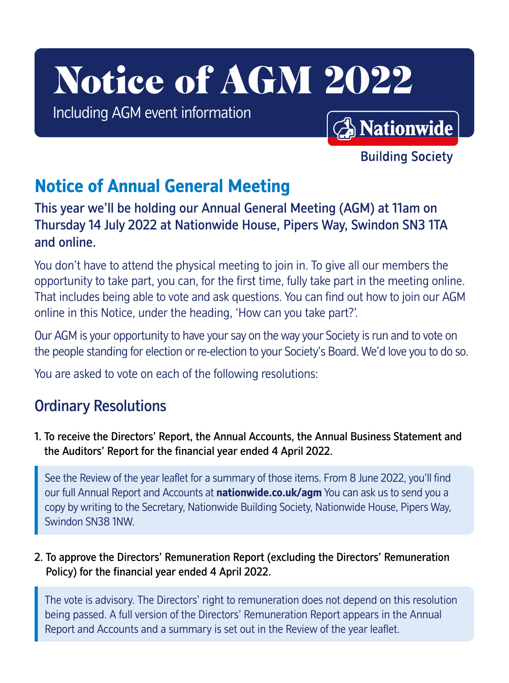# Notice of AGM 2022

Including AGM event information

**A** Nationwide

**Building Society** 

# **Notice of Annual General Meeting**

This year we'll be holding our Annual General Meeting (AGM) at 11am on Thursday 14 July 2022 at Nationwide House, Pipers Way, Swindon SN3 1TA and online.

You don't have to attend the physical meeting to join in. To give all our members the opportunity to take part, you can, for the first time, fully take part in the meeting online. That includes being able to vote and ask questions. You can find out how to join our AGM online in this Notice, under the heading, 'How can you take part?'.

Our AGM is your opportunity to have your say on the way your Society is run and to vote on the people standing for election or re-election to your Society's Board. We'd love you to do so.

You are asked to vote on each of the following resolutions:

# Ordinary Resolutions

1. To receive the Directors' Report, the Annual Accounts, the Annual Business Statement and the Auditors' Report for the financial year ended 4 April 2022.

See the Review of the year leaflet for a summary of those items. From 8 June 2022, you'll find our full Annual Report and Accounts at **<nationwide.co.uk/agm>** You can ask us to send you a copy by writing to the Secretary, Nationwide Building Society, Nationwide House, Pipers Way, Swindon SN38 1NW.

2. To approve the Directors' Remuneration Report (excluding the Directors' Remuneration Policy) for the financial year ended 4 April 2022.

The vote is advisory. The Directors' right to remuneration does not depend on this resolution being passed. A full version of the Directors' Remuneration Report appears in the Annual Report and Accounts and a summary is set out in the Review of the year leaflet.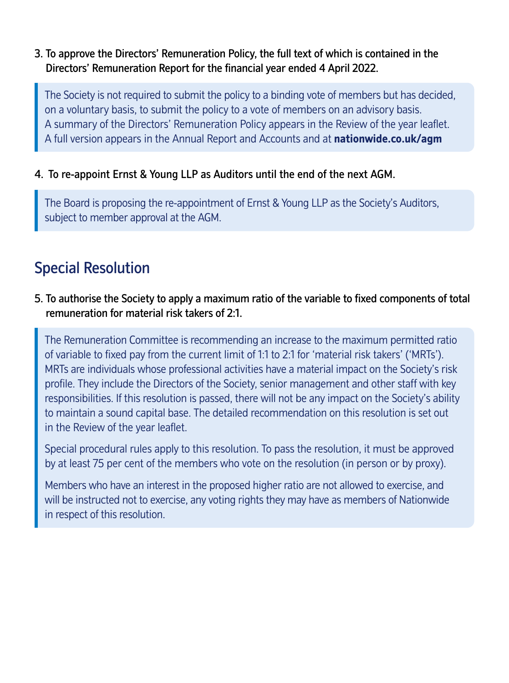3. To approve the Directors' Remuneration Policy, the full text of which is contained in the Directors' Remuneration Report for the financial year ended 4 April 2022.

 The Society is not required to submit the policy to a binding vote of members but has decided, on a voluntary basis, to submit the policy to a vote of members on an advisory basis. A summary of the Directors' Remuneration Policy appears in the Review of the year leaflet. A full version appears in the Annual Report and Accounts and at **<nationwide.co.uk/agm>**

## 4. To re-appoint Ernst & Young LLP as Auditors until the end of the next AGM.

The Board is proposing the re-appointment of Ernst & Young LLP as the Society's Auditors, subject to member approval at the AGM.

# Special Resolution

# 5. To authorise the Society to apply a maximum ratio of the variable to fixed components of total remuneration for material risk takers of 2:1.

The Remuneration Committee is recommending an increase to the maximum permitted ratio of variable to fixed pay from the current limit of 1:1 to 2:1 for 'material risk takers' ('MRTs'). MRTs are individuals whose professional activities have a material impact on the Society's risk profile. They include the Directors of the Society, senior management and other staff with key responsibilities. If this resolution is passed, there will not be any impact on the Society's ability to maintain a sound capital base. The detailed recommendation on this resolution is set out in the Review of the year leaflet.

Special procedural rules apply to this resolution. To pass the resolution, it must be approved by at least 75 per cent of the members who vote on the resolution (in person or by proxy).

Members who have an interest in the proposed higher ratio are not allowed to exercise, and will be instructed not to exercise, any voting rights they may have as members of Nationwide in respect of this resolution.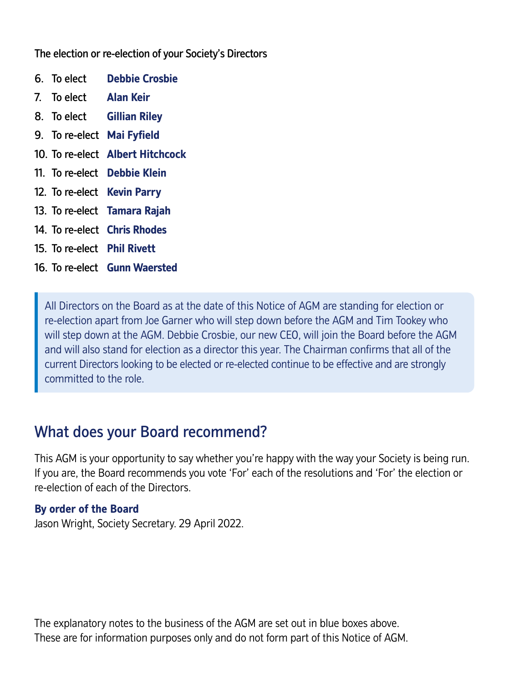The election or re-election of your Society's Directors

- 6. To elect **Debbie Crosbie**
- 7. To elect **Alan Keir**
- 8. To elect **Gillian Riley**
- 9. To re-elect **Mai Fyfield**
- 10. To re-elect **Albert Hitchcock**
- 11. To re-elect **Debbie Klein**
- 12. To re-elect **Kevin Parry**
- 13. To re-elect **Tamara Rajah**
- 14. To re-elect **Chris Rhodes**
- 15. To re-elect **Phil Rivett**
- 16. To re-elect **Gunn Waersted**

All Directors on the Board as at the date of this Notice of AGM are standing for election or re-election apart from Joe Garner who will step down before the AGM and Tim Tookey who will step down at the AGM. Debbie Crosbie, our new CEO, will join the Board before the AGM and will also stand for election as a director this year. The Chairman confirms that all of the current Directors looking to be elected or re-elected continue to be effective and are strongly committed to the role.

# What does your Board recommend?

This AGM is your opportunity to say whether you're happy with the way your Society is being run. If you are, the Board recommends you vote 'For' each of the resolutions and 'For' the election or re-election of each of the Directors.

## **By order of the Board**

Jason Wright, Society Secretary. 29 April 2022.

The explanatory notes to the business of the AGM are set out in blue boxes above. These are for information purposes only and do not form part of this Notice of AGM.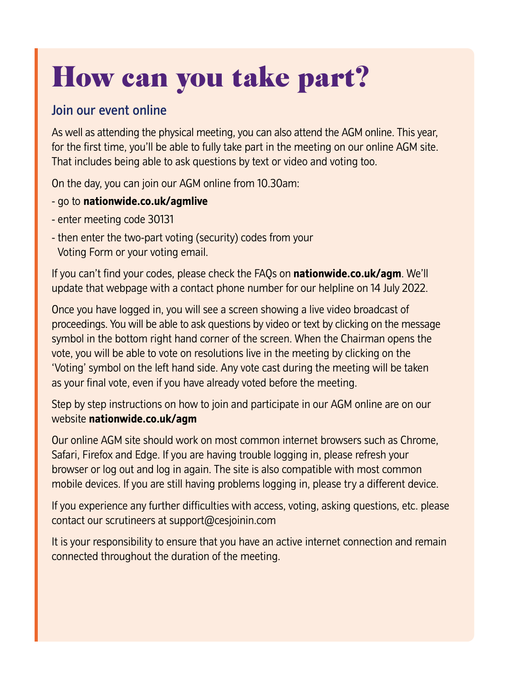# How can you take part?

# Join our event online

As well as attending the physical meeting, you can also attend the AGM online. This year, for the first time, you'll be able to fully take part in the meeting on our online AGM site. That includes being able to ask questions by text or video and voting too.

On the day, you can join our AGM online from 10.30am:

# - go to **<nationwide.co.uk/agmlive>**

- enter meeting code 30131
- then enter the two-part voting (security) codes from your Voting Form or your voting email.

If you can't find your codes, please check the FAQs on **<nationwide.co.uk/agm>**. We'll update that webpage with a contact phone number for our helpline on 14 July 2022.

Once you have logged in, you will see a screen showing a live video broadcast of proceedings. You will be able to ask questions by video or text by clicking on the message symbol in the bottom right hand corner of the screen. When the Chairman opens the vote, you will be able to vote on resolutions live in the meeting by clicking on the 'Voting' symbol on the left hand side. Any vote cast during the meeting will be taken as your final vote, even if you have already voted before the meeting.

Step by step instructions on how to join and participate in our AGM online are on our website **<nationwide.co.uk/agm>**

Our online AGM site should work on most common internet browsers such as Chrome, Safari, Firefox and Edge. If you are having trouble logging in, please refresh your browser or log out and log in again. The site is also compatible with most common mobile devices. If you are still having problems logging in, please try a different device.

If you experience any further difficulties with access, voting, asking questions, etc. please contact our scrutineers at [support@cesjoinin.com](mailto:support@cesjoinin.com) 

It is your responsibility to ensure that you have an active internet connection and remain connected throughout the duration of the meeting.